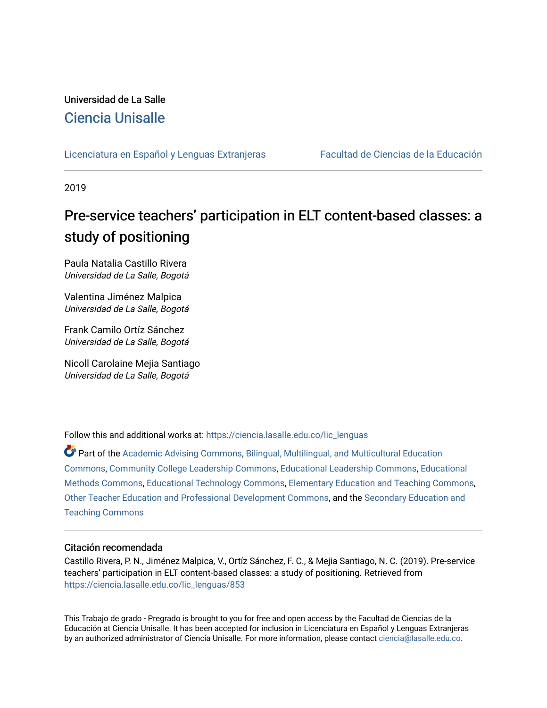## Universidad de La Salle [Ciencia Unisalle](https://ciencia.lasalle.edu.co/)

#### [Licenciatura en Español y Lenguas Extranjeras](https://ciencia.lasalle.edu.co/lic_lenguas) Facultad de Ciencias de la Educación

2019

## Pre-service teachers' participation in ELT content-based classes: a study of positioning

Paula Natalia Castillo Rivera Universidad de La Salle, Bogotá

Valentina Jiménez Malpica Universidad de La Salle, Bogotá

Frank Camilo Ortíz Sánchez Universidad de La Salle, Bogotá

Nicoll Carolaine Mejia Santiago Universidad de La Salle, Bogotá

Follow this and additional works at: [https://ciencia.lasalle.edu.co/lic\\_lenguas](https://ciencia.lasalle.edu.co/lic_lenguas?utm_source=ciencia.lasalle.edu.co%2Flic_lenguas%2F853&utm_medium=PDF&utm_campaign=PDFCoverPages)

Part of the [Academic Advising Commons](http://network.bepress.com/hgg/discipline/1403?utm_source=ciencia.lasalle.edu.co%2Flic_lenguas%2F853&utm_medium=PDF&utm_campaign=PDFCoverPages), [Bilingual, Multilingual, and Multicultural Education](http://network.bepress.com/hgg/discipline/785?utm_source=ciencia.lasalle.edu.co%2Flic_lenguas%2F853&utm_medium=PDF&utm_campaign=PDFCoverPages) [Commons](http://network.bepress.com/hgg/discipline/785?utm_source=ciencia.lasalle.edu.co%2Flic_lenguas%2F853&utm_medium=PDF&utm_campaign=PDFCoverPages), [Community College Leadership Commons,](http://network.bepress.com/hgg/discipline/1039?utm_source=ciencia.lasalle.edu.co%2Flic_lenguas%2F853&utm_medium=PDF&utm_campaign=PDFCoverPages) [Educational Leadership Commons,](http://network.bepress.com/hgg/discipline/1230?utm_source=ciencia.lasalle.edu.co%2Flic_lenguas%2F853&utm_medium=PDF&utm_campaign=PDFCoverPages) [Educational](http://network.bepress.com/hgg/discipline/1227?utm_source=ciencia.lasalle.edu.co%2Flic_lenguas%2F853&utm_medium=PDF&utm_campaign=PDFCoverPages) [Methods Commons,](http://network.bepress.com/hgg/discipline/1227?utm_source=ciencia.lasalle.edu.co%2Flic_lenguas%2F853&utm_medium=PDF&utm_campaign=PDFCoverPages) [Educational Technology Commons,](http://network.bepress.com/hgg/discipline/1415?utm_source=ciencia.lasalle.edu.co%2Flic_lenguas%2F853&utm_medium=PDF&utm_campaign=PDFCoverPages) [Elementary Education and Teaching Commons,](http://network.bepress.com/hgg/discipline/805?utm_source=ciencia.lasalle.edu.co%2Flic_lenguas%2F853&utm_medium=PDF&utm_campaign=PDFCoverPages) [Other Teacher Education and Professional Development Commons](http://network.bepress.com/hgg/discipline/810?utm_source=ciencia.lasalle.edu.co%2Flic_lenguas%2F853&utm_medium=PDF&utm_campaign=PDFCoverPages), and the [Secondary Education and](http://network.bepress.com/hgg/discipline/809?utm_source=ciencia.lasalle.edu.co%2Flic_lenguas%2F853&utm_medium=PDF&utm_campaign=PDFCoverPages)  [Teaching Commons](http://network.bepress.com/hgg/discipline/809?utm_source=ciencia.lasalle.edu.co%2Flic_lenguas%2F853&utm_medium=PDF&utm_campaign=PDFCoverPages)

#### Citación recomendada

Castillo Rivera, P. N., Jiménez Malpica, V., Ortíz Sánchez, F. C., & Mejia Santiago, N. C. (2019). Pre-service teachers' participation in ELT content-based classes: a study of positioning. Retrieved from [https://ciencia.lasalle.edu.co/lic\\_lenguas/853](https://ciencia.lasalle.edu.co/lic_lenguas/853?utm_source=ciencia.lasalle.edu.co%2Flic_lenguas%2F853&utm_medium=PDF&utm_campaign=PDFCoverPages)

This Trabajo de grado - Pregrado is brought to you for free and open access by the Facultad de Ciencias de la Educación at Ciencia Unisalle. It has been accepted for inclusion in Licenciatura en Español y Lenguas Extranjeras by an authorized administrator of Ciencia Unisalle. For more information, please contact [ciencia@lasalle.edu.co.](mailto:ciencia@lasalle.edu.co)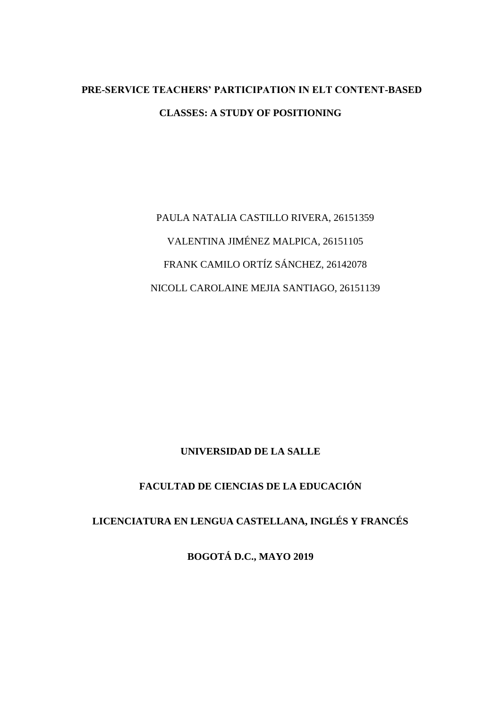## **PRE-SERVICE TEACHERS' PARTICIPATION IN ELT CONTENT-BASED CLASSES: A STUDY OF POSITIONING**

PAULA NATALIA CASTILLO RIVERA, 26151359 VALENTINA JIMÉNEZ MALPICA, 26151105 FRANK CAMILO ORTÍZ SÁNCHEZ, 26142078 NICOLL CAROLAINE MEJIA SANTIAGO, 26151139

### **UNIVERSIDAD DE LA SALLE**

### **FACULTAD DE CIENCIAS DE LA EDUCACIÓN**

## **LICENCIATURA EN LENGUA CASTELLANA, INGLÉS Y FRANCÉS**

**BOGOTÁ D.C., MAYO 2019**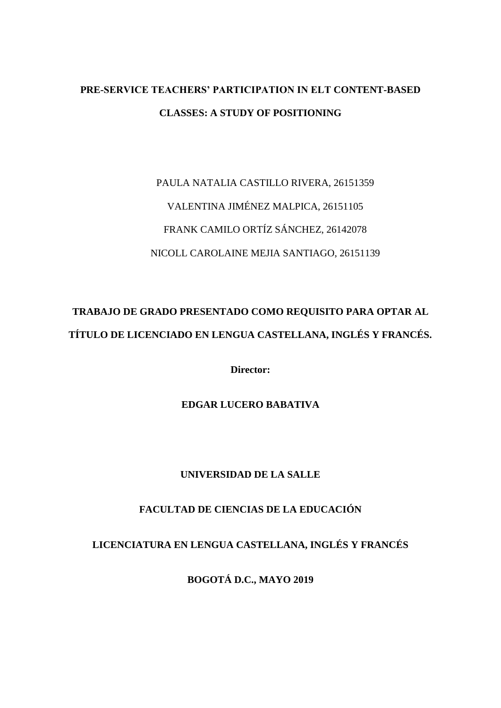## **PRE-SERVICE TEACHERS' PARTICIPATION IN ELT CONTENT-BASED CLASSES: A STUDY OF POSITIONING**

# PAULA NATALIA CASTILLO RIVERA, 26151359 VALENTINA JIMÉNEZ MALPICA, 26151105 FRANK CAMILO ORTÍZ SÁNCHEZ, 26142078 NICOLL CAROLAINE MEJIA SANTIAGO, 26151139

## **TRABAJO DE GRADO PRESENTADO COMO REQUISITO PARA OPTAR AL TÍTULO DE LICENCIADO EN LENGUA CASTELLANA, INGLÉS Y FRANCÉS.**

**Director:** 

**EDGAR LUCERO BABATIVA**

### **UNIVERSIDAD DE LA SALLE**

### **FACULTAD DE CIENCIAS DE LA EDUCACIÓN**

## **LICENCIATURA EN LENGUA CASTELLANA, INGLÉS Y FRANCÉS**

**BOGOTÁ D.C., MAYO 2019**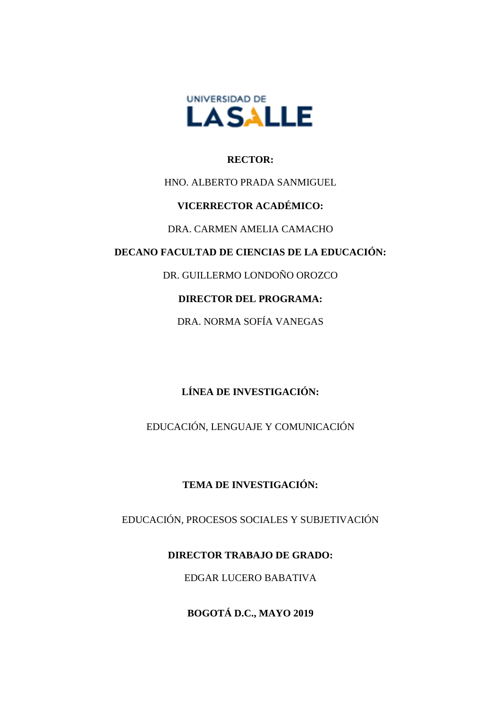

#### **RECTOR:**

### HNO. ALBERTO PRADA SANMIGUEL

### **VICERRECTOR ACADÉMICO:**

### DRA. CARMEN AMELIA CAMACHO

### **DECANO FACULTAD DE CIENCIAS DE LA EDUCACIÓN:**

DR. GUILLERMO LONDOÑO OROZCO

## **DIRECTOR DEL PROGRAMA:**

DRA. NORMA SOFÍA VANEGAS

## **LÍNEA DE INVESTIGACIÓN:**

EDUCACIÓN, LENGUAJE Y COMUNICACIÓN

## **TEMA DE INVESTIGACIÓN:**

EDUCACIÓN, PROCESOS SOCIALES Y SUBJETIVACIÓN

## **DIRECTOR TRABAJO DE GRADO:**

EDGAR LUCERO BABATIVA

**BOGOTÁ D.C., MAYO 2019**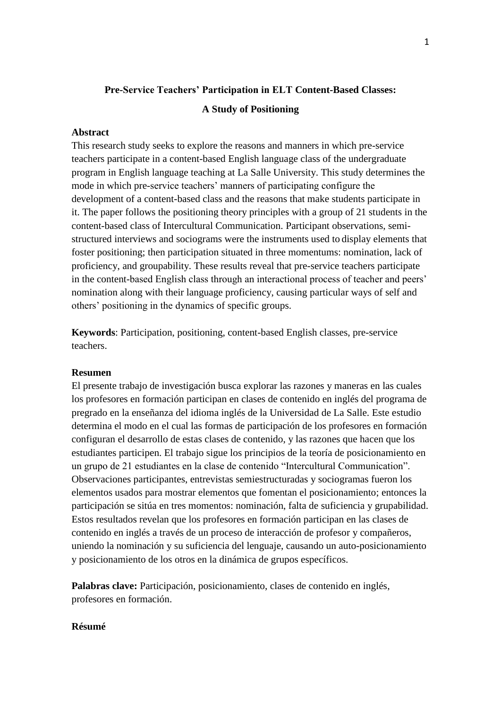## **Pre-Service Teachers' Participation in ELT Content-Based Classes: A Study of Positioning**

#### **Abstract**

This research study seeks to explore the reasons and manners in which pre-service teachers participate in a content-based English language class of the undergraduate program in English language teaching at La Salle University. This study determines the mode in which pre-service teachers' manners of participating configure the development of a content-based class and the reasons that make students participate in it. The paper follows the positioning theory principles with a group of 21 students in the content-based class of Intercultural Communication. Participant observations, semistructured interviews and sociograms were the instruments used to display elements that foster positioning; then participation situated in three momentums: nomination, lack of proficiency, and groupability. These results reveal that pre-service teachers participate in the content-based English class through an interactional process of teacher and peers' nomination along with their language proficiency, causing particular ways of self and others' positioning in the dynamics of specific groups.

**Keywords**: Participation, positioning, content-based English classes, pre-service teachers.

#### **Resumen**

El presente trabajo de investigación busca explorar las razones y maneras en las cuales los profesores en formación participan en clases de contenido en inglés del programa de pregrado en la enseñanza del idioma inglés de la Universidad de La Salle. Este estudio determina el modo en el cual las formas de participación de los profesores en formación configuran el desarrollo de estas clases de contenido, y las razones que hacen que los estudiantes participen. El trabajo sigue los principios de la teoría de posicionamiento en un grupo de 21 estudiantes en la clase de contenido "Intercultural Communication". Observaciones participantes, entrevistas semiestructuradas y sociogramas fueron los elementos usados para mostrar elementos que fomentan el posicionamiento; entonces la participación se sitúa en tres momentos: nominación, falta de suficiencia y grupabilidad. Estos resultados revelan que los profesores en formación participan en las clases de contenido en inglés a través de un proceso de interacción de profesor y compañeros, uniendo la nominación y su suficiencia del lenguaje, causando un auto-posicionamiento y posicionamiento de los otros en la dinámica de grupos específicos.

**Palabras clave:** Participación, posicionamiento, clases de contenido en inglés, profesores en formación.

#### **Résumé**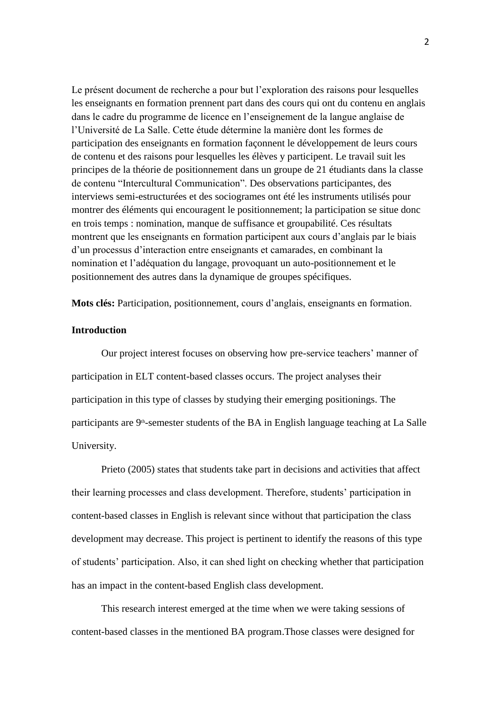Le présent document de recherche a pour but l'exploration des raisons pour lesquelles les enseignants en formation prennent part dans des cours qui ont du contenu en anglais dans le cadre du programme de licence en l'enseignement de la langue anglaise de l'Université de La Salle. Cette étude détermine la manière dont les formes de participation des enseignants en formation façonnent le développement de leurs cours de contenu et des raisons pour lesquelles les élèves y participent. Le travail suit les principes de la théorie de positionnement dans un groupe de 21 étudiants dans la classe de contenu "Intercultural Communication". Des observations participantes, des interviews semi-estructurées et des sociogrames ont été les instruments utilisés pour montrer des éléments qui encouragent le positionnement; la participation se situe donc en trois temps : nomination, manque de suffisance et groupabilité. Ces résultats montrent que les enseignants en formation participent aux cours d'anglais par le biais d'un processus d'interaction entre enseignants et camarades, en combinant la nomination et l'adéquation du langage, provoquant un auto-positionnement et le positionnement des autres dans la dynamique de groupes spécifiques.

**Mots clés:** Participation, positionnement, cours d'anglais, enseignants en formation.

#### **Introduction**

Our project interest focuses on observing how pre-service teachers' manner of participation in ELT content-based classes occurs. The project analyses their participation in this type of classes by studying their emerging positionings. The participants are 9<sup>th</sup>-semester students of the BA in English language teaching at La Salle University.

Prieto (2005) states that students take part in decisions and activities that affect their learning processes and class development. Therefore, students' participation in content-based classes in English is relevant since without that participation the class development may decrease. This project is pertinent to identify the reasons of this type of students' participation. Also, it can shed light on checking whether that participation has an impact in the content-based English class development.

This research interest emerged at the time when we were taking sessions of content-based classes in the mentioned BA program.Those classes were designed for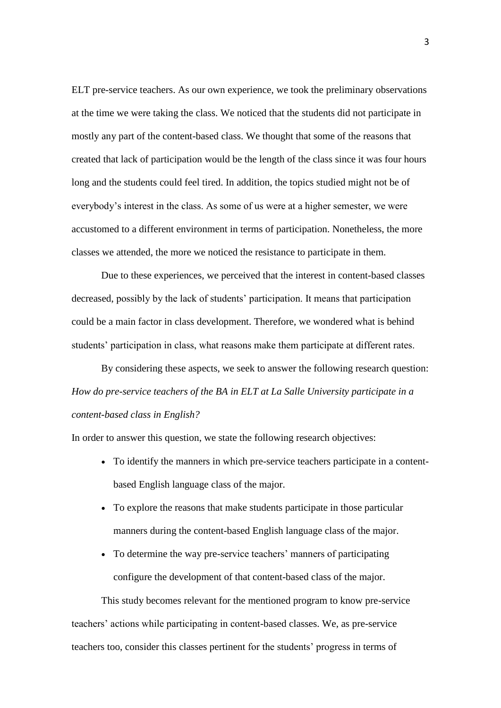ELT pre-service teachers. As our own experience, we took the preliminary observations at the time we were taking the class. We noticed that the students did not participate in mostly any part of the content-based class. We thought that some of the reasons that created that lack of participation would be the length of the class since it was four hours long and the students could feel tired. In addition, the topics studied might not be of everybody's interest in the class. As some of us were at a higher semester, we were accustomed to a different environment in terms of participation. Nonetheless, the more classes we attended, the more we noticed the resistance to participate in them.

Due to these experiences, we perceived that the interest in content-based classes decreased, possibly by the lack of students' participation. It means that participation could be a main factor in class development. Therefore, we wondered what is behind students' participation in class, what reasons make them participate at different rates.

By considering these aspects, we seek to answer the following research question: *How do pre-service teachers of the BA in ELT at La Salle University participate in a content-based class in English?*

In order to answer this question, we state the following research objectives:

- To identify the manners in which pre-service teachers participate in a contentbased English language class of the major.
- To explore the reasons that make students participate in those particular manners during the content-based English language class of the major.
- To determine the way pre-service teachers' manners of participating configure the development of that content-based class of the major.

This study becomes relevant for the mentioned program to know pre-service teachers' actions while participating in content-based classes. We, as pre-service teachers too, consider this classes pertinent for the students' progress in terms of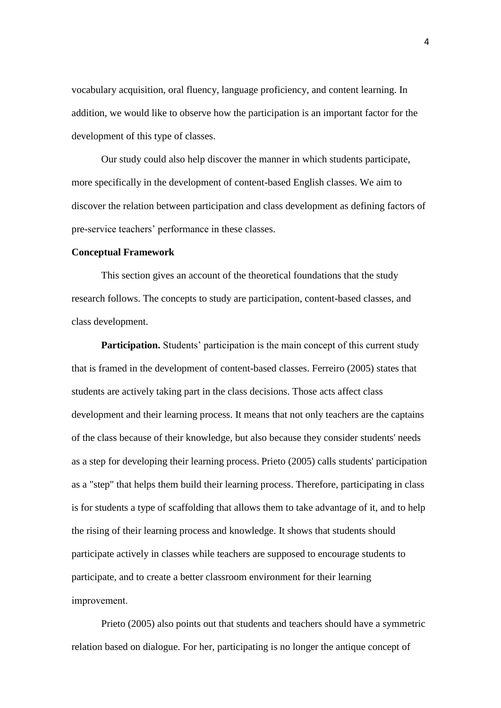vocabulary acquisition, oral fluency, language proficiency, and content learning. In addition, we would like to observe how the participation is an important factor for the development of this type of classes.

Our study could also help discover the manner in which students participate, more specifically in the development of content-based English classes. We aim to discover the relation between participation and class development as defining factors of pre-service teachers' performance in these classes.

#### **Conceptual Framework**

This section gives an account of the theoretical foundations that the study research follows. The concepts to study are participation, content-based classes, and class development.

**Participation.** Students' participation is the main concept of this current study that is framed in the development of content-based classes. Ferreiro (2005) states that students are actively taking part in the class decisions. Those acts affect class development and their learning process. It means that not only teachers are the captains of the class because of their knowledge*,* but also because they consider students' needs as a step for developing their learning process. Prieto (2005) calls students' participation as a "step" that helps them build their learning process. Therefore*,* participating in class is for students a type of scaffolding that allows them to take advantage of it, and to help the rising of their learning process and knowledge. It shows that students should participate actively in classes while teachers are supposed to encourage students to participate*,* and to create a better classroom environment for their learning improvement.  

Prieto (2005) also points out that students and teachers should have a symmetric relation based on dialogue. For her, participating is no longer the antique concept of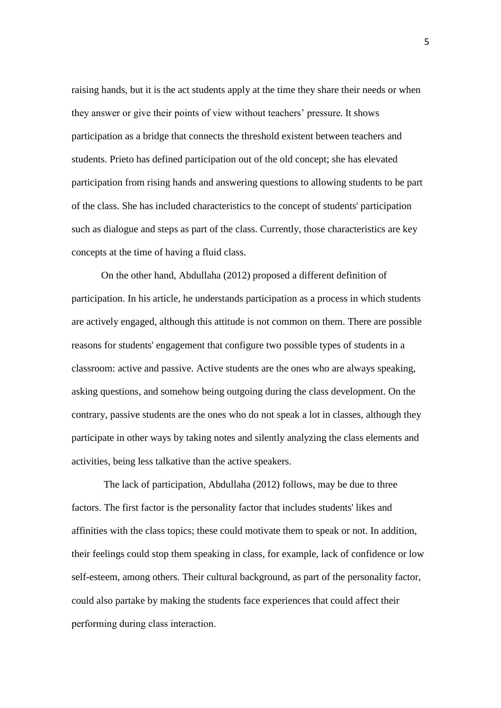raising hands, but it is the act students apply at the time they share their needs or when they answer or give their points of view without teachers' pressure*.* It shows participation as a bridge that connects the threshold existent between teachers and students. Prieto has defined participation out of the old concept; she has elevated participation from rising hands and answering questions to allowing students to be part of the class. She has included characteristics to the concept of students' participation such as dialogue and steps as part of the class. Currently, those characteristics are key concepts at the time of having a fluid class.

On the other hand, Abdullaha (2012) proposed a different definition of participation. In his article, he understands participation as a process in which students are actively engaged, although this attitude is not common on them. There are possible reasons for students' engagement that configure two possible types of students in a classroom: active and passive. Active students are the ones who are always speaking, asking questions, and somehow being outgoing during the class development. On the contrary, passive students are the ones who do not speak a lot in classes, although they participate in other ways by taking notes and silently analyzing the class elements and activities, being less talkative than the active speakers.

The lack of participation, Abdullaha (2012) follows, may be due to three factors. The first factor is the personality factor that includes students' likes and affinities with the class topics; these could motivate them to speak or not. In addition, their feelings could stop them speaking in class, for example, lack of confidence or low self-esteem, among others. Their cultural background, as part of the personality factor, could also partake by making the students face experiences that could affect their performing during class interaction.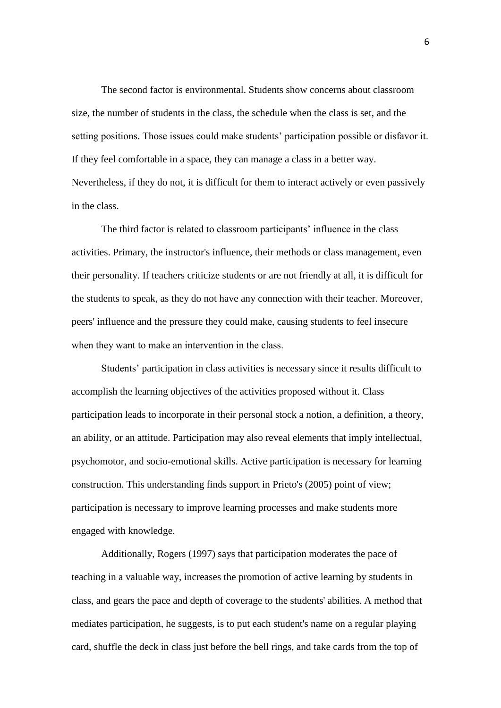The second factor is environmental. Students show concerns about classroom size, the number of students in the class, the schedule when the class is set, and the setting positions. Those issues could make students' participation possible or disfavor it. If they feel comfortable in a space, they can manage a class in a better way. Nevertheless, if they do not, it is difficult for them to interact actively or even passively in the class.

The third factor is related to classroom participants' influence in the class activities. Primary, the instructor's influence, their methods or class management, even their personality. If teachers criticize students or are not friendly at all, it is difficult for the students to speak, as they do not have any connection with their teacher. Moreover, peers' influence and the pressure they could make, causing students to feel insecure when they want to make an intervention in the class. 

Students' participation in class activities is necessary since it results difficult to accomplish the learning objectives of the activities proposed without it. Class participation leads to incorporate in their personal stock a notion, a definition, a theory, an ability, or an attitude. Participation may also reveal elements that imply intellectual, psychomotor, and socio-emotional skills. Active participation is necessary for learning construction. This understanding finds support in Prieto's (2005) point of view; participation is necessary to improve learning processes and make students more engaged with knowledge.

Additionally, Rogers (1997) says that participation moderates the pace of teaching in a valuable way, increases the promotion of active learning by students in class, and gears the pace and depth of coverage to the students' abilities. A method that mediates participation, he suggests, is to put each student's name on a regular playing card, shuffle the deck in class just before the bell rings, and take cards from the top of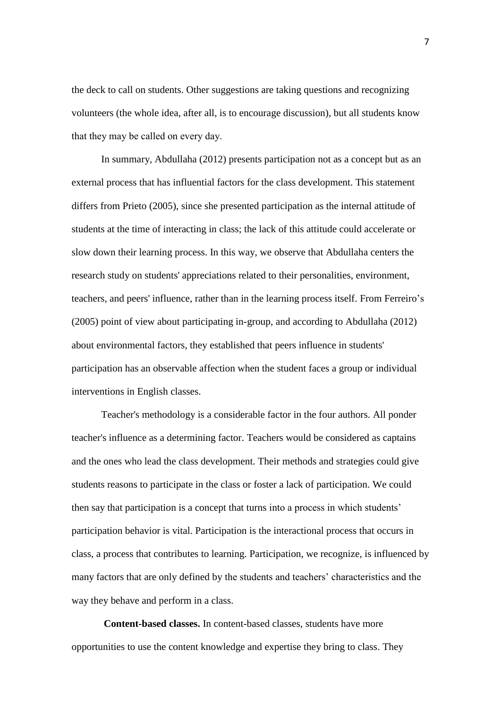the deck to call on students. Other suggestions are taking questions and recognizing volunteers (the whole idea, after all, is to encourage discussion), but all students know that they may be called on every day. 

In summary, Abdullaha (2012) presents participation not as a concept but as an external process that has influential factors for the class development. This statement differs from Prieto (2005), since she presented participation as the internal attitude of students at the time of interacting in class; the lack of this attitude could accelerate or slow down their learning process. In this way, we observe that Abdullaha centers the research study on students' appreciations related to their personalities, environment, teachers, and peers' influence, rather than in the learning process itself. From Ferreiro's (2005) point of view about participating in-group, and according to Abdullaha (2012) about environmental factors, they established that peers influence in students' participation has an observable affection when the student faces a group or individual interventions in English classes.

Teacher's methodology is a considerable factor in the four authors. All ponder teacher's influence as a determining factor. Teachers would be considered as captains and the ones who lead the class development. Their methods and strategies could give students reasons to participate in the class or foster a lack of participation. We could then say that participation is a concept that turns into a process in which students' participation behavior is vital. Participation is the interactional process that occurs in class, a process that contributes to learning. Participation, we recognize, is influenced by many factors that are only defined by the students and teachers' characteristics and the way they behave and perform in a class.

**Content-based classes.** In content-based classes, students have more opportunities to use the content knowledge and expertise they bring to class. They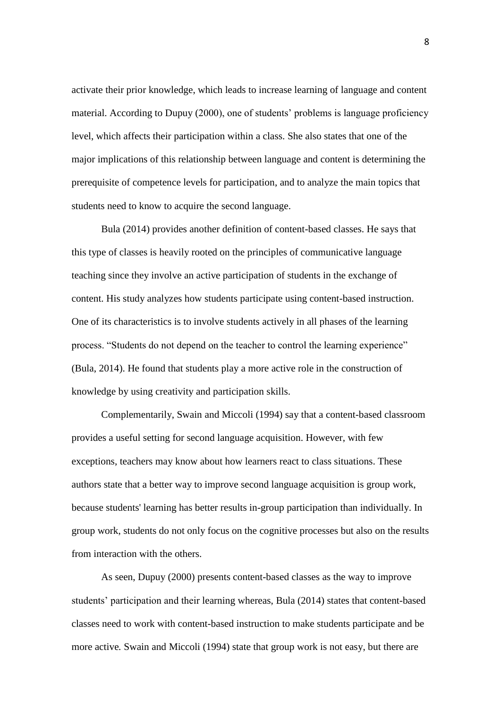activate their prior knowledge, which leads to increase learning of language and content material. According to Dupuy (2000), one of students' problems is language proficiency level, which affects their participation within a class. She also states that one of the major implications of this relationship between language and content is determining the prerequisite of competence levels for participation, and to analyze the main topics that students need to know to acquire the second language.

Bula (2014) provides another definition of content-based classes. He says that this type of classes is heavily rooted on the principles of communicative language teaching since they involve an active participation of students in the exchange of content. His study analyzes how students participate using content-based instruction. One of its characteristics is to involve students actively in all phases of the learning process. "Students do not depend on the teacher to control the learning experience" (Bula, 2014). He found that students play a more active role in the construction of knowledge by using creativity and participation skills.

Complementarily, Swain and Miccoli (1994) say that a content-based classroom provides a useful setting for second language acquisition. However, with few exceptions, teachers may know about how learners react to class situations. These authors state that a better way to improve second language acquisition is group work, because students' learning has better results in-group participation than individually. In group work, students do not only focus on the cognitive processes but also on the results from interaction with the others.

As seen, Dupuy (2000) presents content-based classes as the way to improve students' participation and their learning whereas, Bula (2014) states that content-based classes need to work with content-based instruction to make students participate and be more active*.* Swain and Miccoli (1994) state that group work is not easy, but there are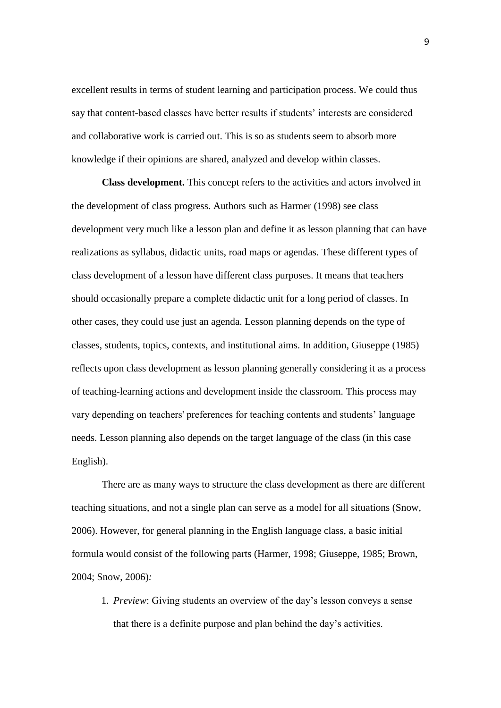excellent results in terms of student learning and participation process. We could thus say that content-based classes have better results if students' interests are considered and collaborative work is carried out. This is so as students seem to absorb more knowledge if their opinions are shared, analyzed and develop within classes.

**Class development.** This concept refers to the activities and actors involved in the development of class progress. Authors such as Harmer (1998) see class development very much like a lesson plan and define it as lesson planning that can have realizations as syllabus, didactic units, road maps or agendas. These different types of class development of a lesson have different class purposes. It means that teachers should occasionally prepare a complete didactic unit for a long period of classes. In other cases, they could use just an agenda. Lesson planning depends on the type of classes, students, topics, contexts, and institutional aims. In addition, Giuseppe (1985) reflects upon class development as lesson planning generally considering it as a process of teaching-learning actions and development inside the classroom. This process may vary depending on teachers' preferences for teaching contents and students' language needs. Lesson planning also depends on the target language of the class (in this case English).

There are as many ways to structure the class development as there are different teaching situations, and not a single plan can serve as a model for all situations (Snow, 2006). However, for general planning in the English language class, a basic initial formula would consist of the following parts (Harmer, 1998; Giuseppe, 1985; Brown, 2004; Snow, 2006)*:*

1. *Preview*: Giving students an overview of the day's lesson conveys a sense that there is a definite purpose and plan behind the day's activities.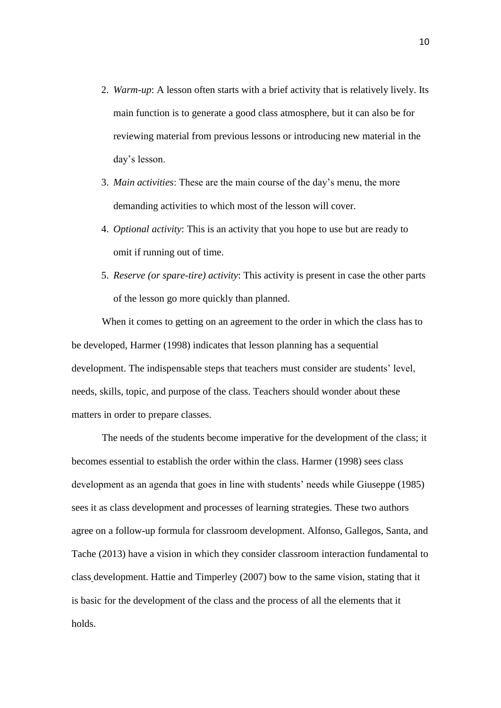- 2. *Warm-up*: A lesson often starts with a brief activity that is relatively lively. Its main function is to generate a good class atmosphere, but it can also be for reviewing material from previous lessons or introducing new material in the day's lesson.
- 3. *Main activities*: These are the main course of the day's menu, the more demanding activities to which most of the lesson will cover.
- 4. *Optional activity*: This is an activity that you hope to use but are ready to omit if running out of time.
- 5. *Reserve (or spare-tire) activity*: This activity is present in case the other parts of the lesson go more quickly than planned.

When it comes to getting on an agreement to the order in which the class has to be developed, Harmer (1998) indicates that lesson planning has a sequential development. The indispensable steps that teachers must consider are students' level, needs, skills, topic, and purpose of the class. Teachers should wonder about these matters in order to prepare classes.

The needs of the students become imperative for the development of the class; it becomes essential to establish the order within the class. Harmer (1998) sees class development as an agenda that goes in line with students' needs while Giuseppe (1985) sees it as class development and processes of learning strategies. These two authors agree on a follow-up formula for classroom development. Alfonso, Gallegos, Santa, and Tache (2013) have a vision in which they consider classroom interaction fundamental to class development. Hattie and Timperley (2007) bow to the same vision, stating that it is basic for the development of the class and the process of all the elements that it holds.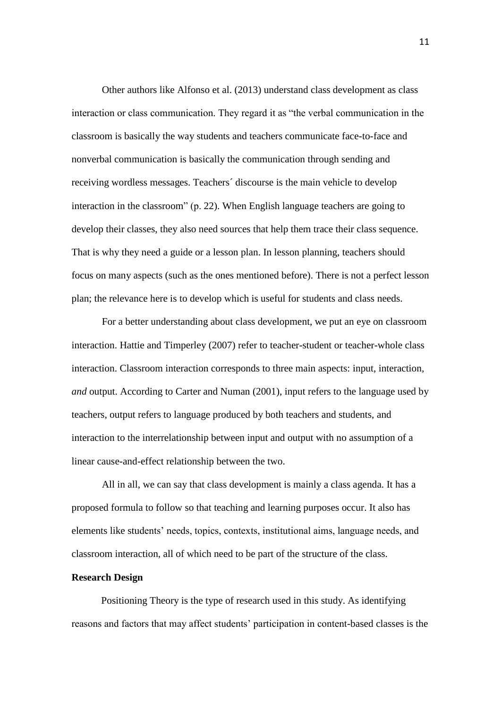Other authors like Alfonso et al. (2013) understand class development as class interaction or class communication. They regard it as "the verbal communication in the classroom is basically the way students and teachers communicate face-to-face and nonverbal communication is basically the communication through sending and receiving wordless messages. Teachers´ discourse is the main vehicle to develop interaction in the classroom" (p. 22). When English language teachers are going to develop their classes, they also need sources that help them trace their class sequence. That is why they need a guide or a lesson plan. In lesson planning, teachers should focus on many aspects (such as the ones mentioned before). There is not a perfect lesson plan; the relevance here is to develop which is useful for students and class needs.

For a better understanding about class development, we put an eye on classroom interaction. Hattie and Timperley (2007) refer to teacher-student or teacher-whole class interaction. Classroom interaction corresponds to three main aspects: input, interaction*, and* output. According to Carter and Numan (2001), input refers to the language used by teachers, output refers to language produced by both teachers and students, and interaction to the interrelationship between input and output with no assumption of a linear cause-and-effect relationship between the two.

All in all, we can say that class development is mainly a class agenda. It has a proposed formula to follow so that teaching and learning purposes occur. It also has elements like students' needs, topics, contexts, institutional aims, language needs, and classroom interaction, all of which need to be part of the structure of the class.

#### **Research Design**

Positioning Theory is the type of research used in this study. As identifying reasons and factors that may affect students' participation in content-based classes is the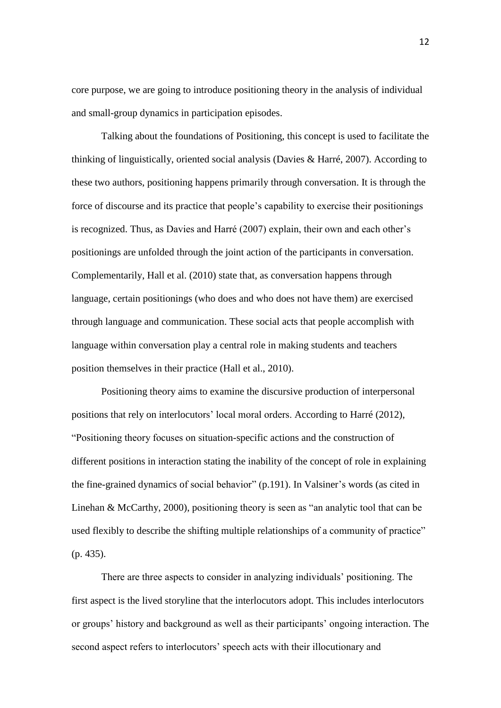core purpose, we are going to introduce positioning theory in the analysis of individual and small-group dynamics in participation episodes.

Talking about the foundations of Positioning, this concept is used to facilitate the thinking of linguistically, oriented social analysis (Davies & Harré, 2007). According to these two authors, positioning happens primarily through conversation. It is through the force of discourse and its practice that people's capability to exercise their positionings is recognized. Thus, as Davies and Harré (2007) explain, their own and each other's positionings are unfolded through the joint action of the participants in conversation. Complementarily, Hall et al. (2010) state that, as conversation happens through language, certain positionings (who does and who does not have them) are exercised through language and communication. These social acts that people accomplish with language within conversation play a central role in making students and teachers position themselves in their practice (Hall et al., 2010).

Positioning theory aims to examine the discursive production of interpersonal positions that rely on interlocutors' local moral orders. According to Harré (2012), "Positioning theory focuses on situation-specific actions and the construction of different positions in interaction stating the inability of the concept of role in explaining the fine-grained dynamics of social behavior" (p.191). In Valsiner's words (as cited in Linehan & McCarthy, 2000), positioning theory is seen as "an analytic tool that can be used flexibly to describe the shifting multiple relationships of a community of practice" (p. 435).

There are three aspects to consider in analyzing individuals' positioning. The first aspect is the lived storyline that the interlocutors adopt. This includes interlocutors or groups' history and background as well as their participants' ongoing interaction. The second aspect refers to interlocutors' speech acts with their illocutionary and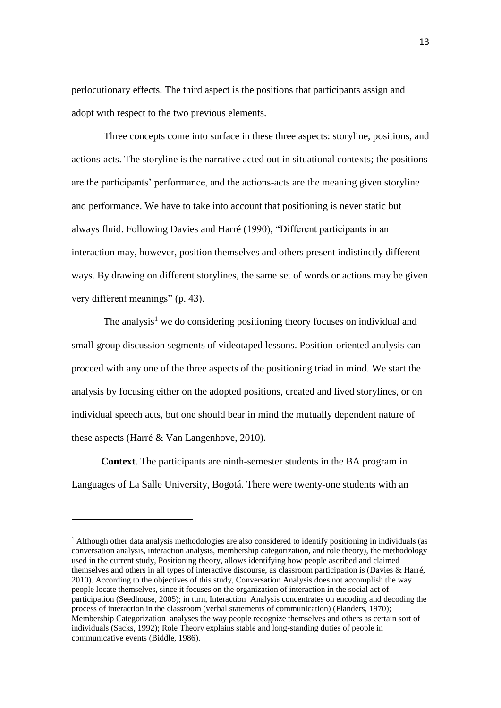perlocutionary effects. The third aspect is the positions that participants assign and adopt with respect to the two previous elements.

Three concepts come into surface in these three aspects: storyline, positions, and actions-acts. The storyline is the narrative acted out in situational contexts; the positions are the participants' performance, and the actions-acts are the meaning given storyline and performance. We have to take into account that positioning is never static but always fluid. Following Davies and Harré (1990), "Different participants in an interaction may, however, position themselves and others present indistinctly different ways. By drawing on different storylines, the same set of words or actions may be given very different meanings" (p. 43).

The analysis<sup>1</sup> we do considering positioning theory focuses on individual and small-group discussion segments of videotaped lessons. Position-oriented analysis can proceed with any one of the three aspects of the positioning triad in mind. We start the analysis by focusing either on the adopted positions, created and lived storylines, or on individual speech acts, but one should bear in mind the mutually dependent nature of these aspects (Harré & Van Langenhove, 2010).

**Context**. The participants are ninth-semester students in the BA program in Languages of La Salle University, Bogotá. There were twenty-one students with an

<u>.</u>

 $<sup>1</sup>$  Although other data analysis methodologies are also considered to identify positioning in individuals (as</sup> conversation analysis, interaction analysis, membership categorization, and role theory), the methodology used in the current study, Positioning theory, allows identifying how people ascribed and claimed themselves and others in all types of interactive discourse, as classroom participation is (Davies & Harré, 2010). According to the objectives of this study, Conversation Analysis does not accomplish the way people locate themselves, since it focuses on the organization of interaction in the social act of participation (Seedhouse, 2005); in turn, Interaction Analysis concentrates on encoding and decoding the process of interaction in the classroom (verbal statements of communication) (Flanders, 1970); Membership Categorization analyses the way people recognize themselves and others as certain sort of individuals (Sacks, 1992); Role Theory explains stable and long-standing duties of people in communicative events (Biddle, 1986).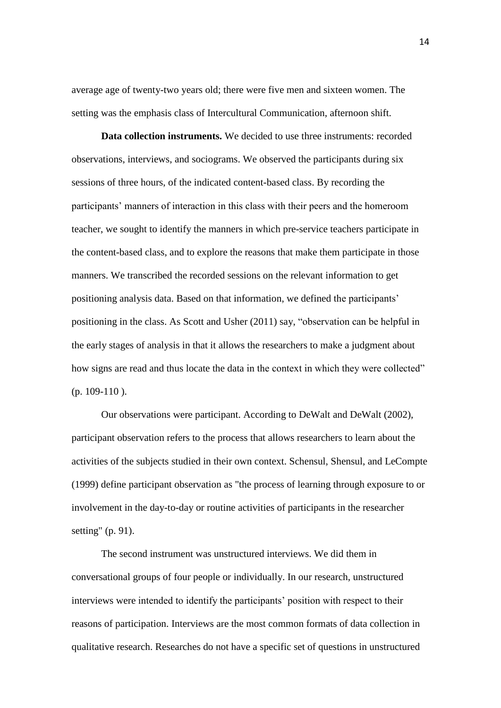average age of twenty-two years old; there were five men and sixteen women. The setting was the emphasis class of Intercultural Communication, afternoon shift.

**Data collection instruments.** We decided to use three instruments: recorded observations, interviews, and sociograms. We observed the participants during six sessions of three hours, of the indicated content-based class. By recording the participants' manners of interaction in this class with their peers and the homeroom teacher, we sought to identify the manners in which pre-service teachers participate in the content-based class, and to explore the reasons that make them participate in those manners. We transcribed the recorded sessions on the relevant information to get positioning analysis data. Based on that information, we defined the participants' positioning in the class. As Scott and Usher (2011) say, "observation can be helpful in the early stages of analysis in that it allows the researchers to make a judgment about how signs are read and thus locate the data in the context in which they were collected"  $(p. 109-110)$ .

Our observations were participant. According to DeWalt and DeWalt (2002), participant observation refers to the process that allows researchers to learn about the activities of the subjects studied in their own context. Schensul, Shensul, and LeCompte (1999) define participant observation as "the process of learning through exposure to or involvement in the day-to-day or routine activities of participants in the researcher setting" (p. 91).

The second instrument was unstructured interviews. We did them in conversational groups of four people or individually. In our research, unstructured interviews were intended to identify the participants' position with respect to their reasons of participation. Interviews are the most common formats of data collection in qualitative research. Researches do not have a specific set of questions in unstructured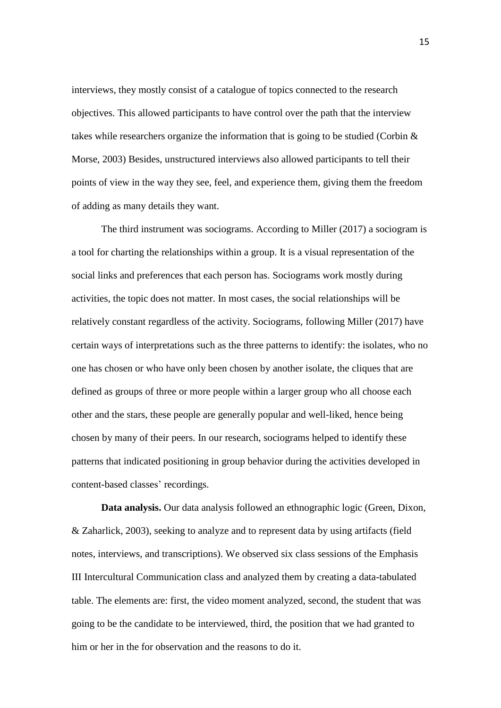interviews, they mostly consist of a catalogue of topics connected to the research objectives. This allowed participants to have control over the path that the interview takes while researchers organize the information that is going to be studied (Corbin  $\&$ Morse, 2003) Besides, unstructured interviews also allowed participants to tell their points of view in the way they see, feel, and experience them, giving them the freedom of adding as many details they want.

The third instrument was sociograms. According to Miller (2017) a sociogram is a tool for charting the relationships within a group. It is a visual representation of the social links and preferences that each person has. Sociograms work mostly during activities, the topic does not matter. In most cases, the social relationships will be relatively constant regardless of the activity. Sociograms, following Miller (2017) have certain ways of interpretations such as the three patterns to identify: the isolates, who no one has chosen or who have only been chosen by another isolate, the cliques that are defined as groups of three or more people within a larger group who all choose each other and the stars, these people are generally popular and well-liked, hence being chosen by many of their peers. In our research, sociograms helped to identify these patterns that indicated positioning in group behavior during the activities developed in content-based classes' recordings.

**Data analysis.** Our data analysis followed an ethnographic logic (Green, Dixon, & Zaharlick, 2003), seeking to analyze and to represent data by using artifacts (field notes, interviews, and transcriptions). We observed six class sessions of the Emphasis III Intercultural Communication class and analyzed them by creating a data-tabulated table. The elements are: first, the video moment analyzed, second, the student that was going to be the candidate to be interviewed, third, the position that we had granted to him or her in the for observation and the reasons to do it.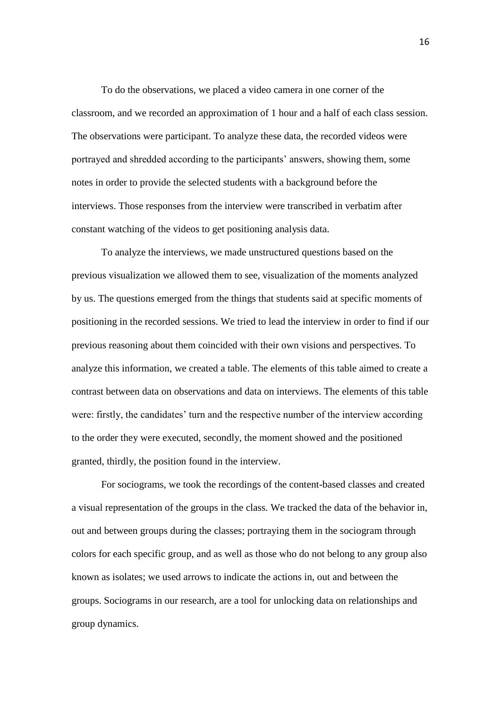To do the observations, we placed a video camera in one corner of the classroom, and we recorded an approximation of 1 hour and a half of each class session. The observations were participant. To analyze these data, the recorded videos were portrayed and shredded according to the participants' answers, showing them, some notes in order to provide the selected students with a background before the interviews. Those responses from the interview were transcribed in verbatim after constant watching of the videos to get positioning analysis data.

To analyze the interviews, we made unstructured questions based on the previous visualization we allowed them to see, visualization of the moments analyzed by us. The questions emerged from the things that students said at specific moments of positioning in the recorded sessions. We tried to lead the interview in order to find if our previous reasoning about them coincided with their own visions and perspectives. To analyze this information, we created a table. The elements of this table aimed to create a contrast between data on observations and data on interviews. The elements of this table were: firstly, the candidates' turn and the respective number of the interview according to the order they were executed, secondly, the moment showed and the positioned granted, thirdly, the position found in the interview.

For sociograms, we took the recordings of the content-based classes and created a visual representation of the groups in the class. We tracked the data of the behavior in, out and between groups during the classes; portraying them in the sociogram through colors for each specific group, and as well as those who do not belong to any group also known as isolates; we used arrows to indicate the actions in, out and between the groups. Sociograms in our research, are a tool for unlocking data on relationships and group dynamics.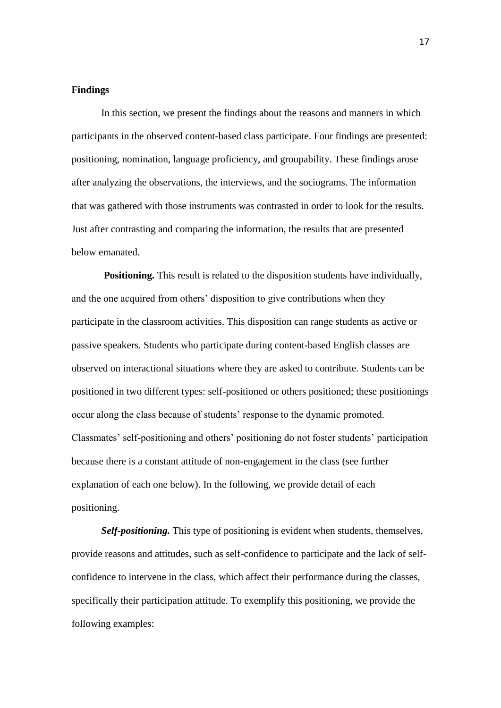#### **Findings**

In this section, we present the findings about the reasons and manners in which participants in the observed content-based class participate. Four findings are presented: positioning, nomination, language proficiency, and groupability. These findings arose after analyzing the observations, the interviews, and the sociograms. The information that was gathered with those instruments was contrasted in order to look for the results. Just after contrasting and comparing the information, the results that are presented below emanated.

**Positioning.** This result is related to the disposition students have individually, and the one acquired from others' disposition to give contributions when they participate in the classroom activities. This disposition can range students as active or passive speakers. Students who participate during content-based English classes are observed on interactional situations where they are asked to contribute. Students can be positioned in two different types: self-positioned or others positioned; these positionings occur along the class because of students' response to the dynamic promoted. Classmates' self-positioning and others' positioning do not foster students' participation because there is a constant attitude of non-engagement in the class (see further explanation of each one below). In the following, we provide detail of each positioning.

*Self-positioning.* This type of positioning is evident when students, themselves, provide reasons and attitudes, such as self-confidence to participate and the lack of selfconfidence to intervene in the class, which affect their performance during the classes, specifically their participation attitude. To exemplify this positioning, we provide the following examples: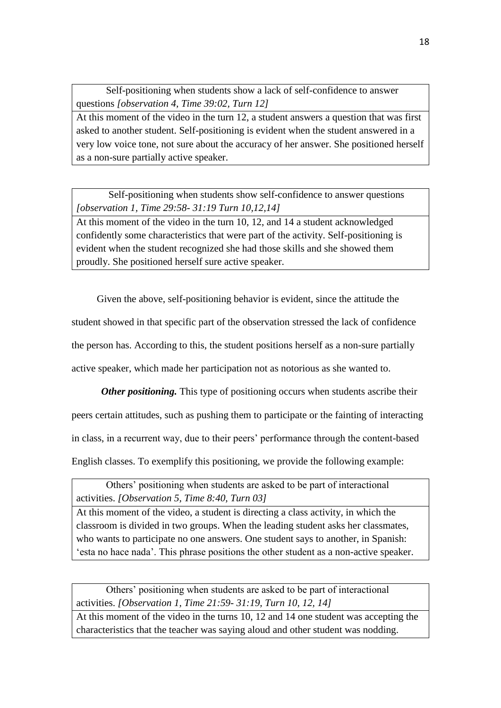Self-positioning when students show a lack of self-confidence to answer questions *[observation 4, Time 39:02, Turn 12]*

At this moment of the video in the turn 12, a student answers a question that was first asked to another student. Self-positioning is evident when the student answered in a very low voice tone, not sure about the accuracy of her answer. She positioned herself as a non-sure partially active speaker.

Self-positioning when students show self-confidence to answer questions *[observation 1, Time 29:58- 31:19 Turn 10,12,14]*

At this moment of the video in the turn 10, 12, and 14 a student acknowledged confidently some characteristics that were part of the activity. Self-positioning is evident when the student recognized she had those skills and she showed them proudly. She positioned herself sure active speaker.

 Given the above, self-positioning behavior is evident, since the attitude the student showed in that specific part of the observation stressed the lack of confidence the person has. According to this, the student positions herself as a non-sure partially active speaker, which made her participation not as notorious as she wanted to.

*Other positioning.* This type of positioning occurs when students ascribe their peers certain attitudes, such as pushing them to participate or the fainting of interacting in class, in a recurrent way, due to their peers' performance through the content-based English classes. To exemplify this positioning, we provide the following example:

Others' positioning when students are asked to be part of interactional activities. *[Observation 5, Time 8:40, Turn 03]*

At this moment of the video, a student is directing a class activity, in which the classroom is divided in two groups. When the leading student asks her classmates, who wants to participate no one answers. One student says to another, in Spanish: 'esta no hace nada'. This phrase positions the other student as a non-active speaker.

Others' positioning when students are asked to be part of interactional activities. *[Observation 1, Time 21:59- 31:19, Turn 10, 12, 14]*

At this moment of the video in the turns 10, 12 and 14 one student was accepting the characteristics that the teacher was saying aloud and other student was nodding.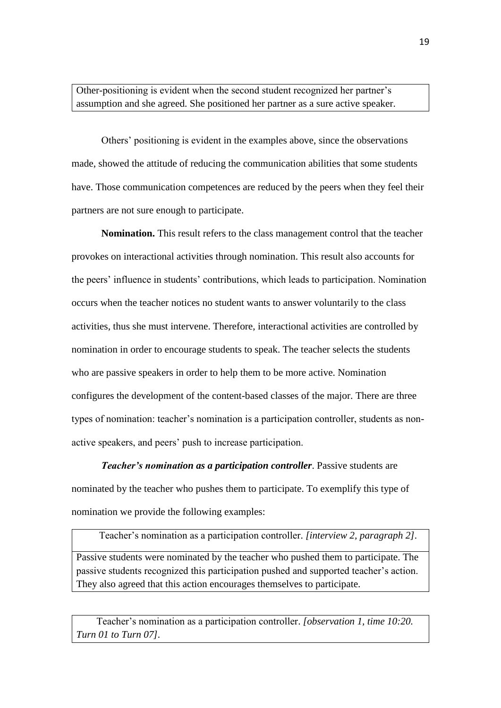Other-positioning is evident when the second student recognized her partner's assumption and she agreed. She positioned her partner as a sure active speaker.

Others' positioning is evident in the examples above, since the observations made, showed the attitude of reducing the communication abilities that some students have. Those communication competences are reduced by the peers when they feel their partners are not sure enough to participate.

**Nomination.** This result refers to the class management control that the teacher provokes on interactional activities through nomination. This result also accounts for the peers' influence in students' contributions, which leads to participation. Nomination occurs when the teacher notices no student wants to answer voluntarily to the class activities, thus she must intervene. Therefore, interactional activities are controlled by nomination in order to encourage students to speak. The teacher selects the students who are passive speakers in order to help them to be more active. Nomination configures the development of the content-based classes of the major. There are three types of nomination: teacher's nomination is a participation controller, students as nonactive speakers, and peers' push to increase participation.

*Teacher's nomination as a participation controller*. Passive students are nominated by the teacher who pushes them to participate. To exemplify this type of nomination we provide the following examples:

Teacher's nomination as a participation controller. *[interview 2, paragraph 2].*

Passive students were nominated by the teacher who pushed them to participate. The passive students recognized this participation pushed and supported teacher's action. They also agreed that this action encourages themselves to participate.

 Teacher's nomination as a participation controller. *[observation 1, time 10:20. Turn 01 to Turn 07].*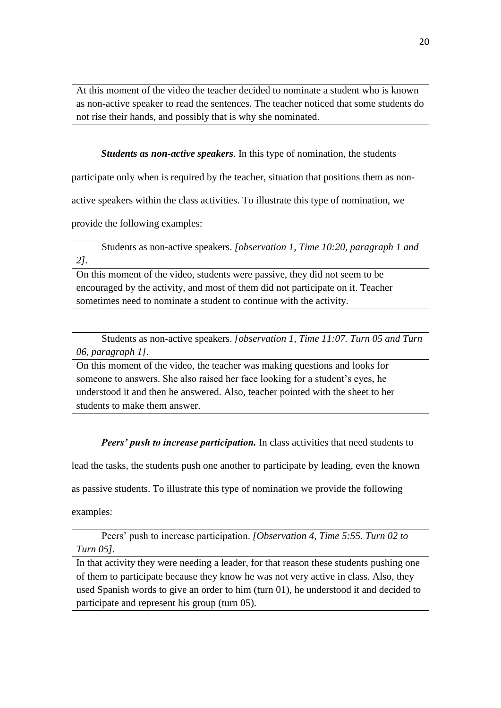At this moment of the video the teacher decided to nominate a student who is known as non-active speaker to read the sentences. The teacher noticed that some students do not rise their hands, and possibly that is why she nominated.

*Students as non-active speakers*. In this type of nomination, the students

participate only when is required by the teacher, situation that positions them as non-

active speakers within the class activities. To illustrate this type of nomination, we

provide the following examples:

 Students as non-active speakers. *[observation 1, Time 10:20, paragraph 1 and 2].*

On this moment of the video, students were passive, they did not seem to be encouraged by the activity, and most of them did not participate on it. Teacher sometimes need to nominate a student to continue with the activity.

 Students as non-active speakers. *[observation 1, Time 11:07. Turn 05 and Turn 06, paragraph 1].*

On this moment of the video, the teacher was making questions and looks for someone to answers. She also raised her face looking for a student's eyes, he understood it and then he answered. Also, teacher pointed with the sheet to her students to make them answer.

*Peers' push to increase participation.* In class activities that need students to

lead the tasks, the students push one another to participate by leading, even the known

as passive students. To illustrate this type of nomination we provide the following

examples:

 Peers' push to increase participation. *[Observation 4, Time 5:55. Turn 02 to Turn 05].*

In that activity they were needing a leader, for that reason these students pushing one of them to participate because they know he was not very active in class. Also, they used Spanish words to give an order to him (turn 01), he understood it and decided to participate and represent his group (turn 05).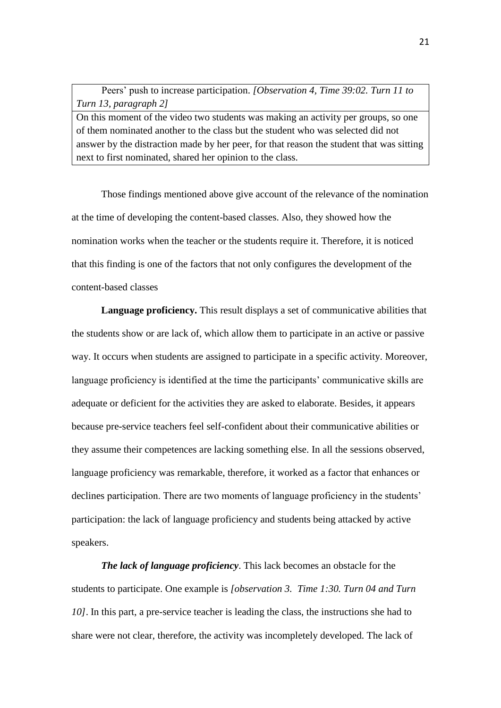Peers' push to increase participation. *[Observation 4, Time 39:02. Turn 11 to Turn 13, paragraph 2]*

On this moment of the video two students was making an activity per groups, so one of them nominated another to the class but the student who was selected did not answer by the distraction made by her peer, for that reason the student that was sitting next to first nominated, shared her opinion to the class.

Those findings mentioned above give account of the relevance of the nomination at the time of developing the content-based classes. Also, they showed how the nomination works when the teacher or the students require it. Therefore, it is noticed that this finding is one of the factors that not only configures the development of the content-based classes

**Language proficiency.** This result displays a set of communicative abilities that the students show or are lack of, which allow them to participate in an active or passive way. It occurs when students are assigned to participate in a specific activity. Moreover, language proficiency is identified at the time the participants' communicative skills are adequate or deficient for the activities they are asked to elaborate. Besides, it appears because pre-service teachers feel self-confident about their communicative abilities or they assume their competences are lacking something else. In all the sessions observed, language proficiency was remarkable, therefore, it worked as a factor that enhances or declines participation. There are two moments of language proficiency in the students' participation: the lack of language proficiency and students being attacked by active speakers.

*The lack of language proficiency*. This lack becomes an obstacle for the students to participate. One example is *[observation 3. Time 1:30. Turn 04 and Turn 10]*. In this part, a pre-service teacher is leading the class, the instructions she had to share were not clear, therefore, the activity was incompletely developed. The lack of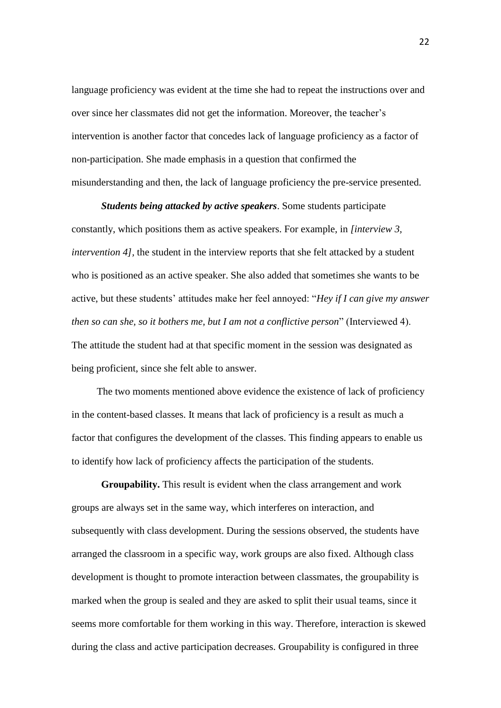language proficiency was evident at the time she had to repeat the instructions over and over since her classmates did not get the information. Moreover, the teacher's intervention is another factor that concedes lack of language proficiency as a factor of non-participation. She made emphasis in a question that confirmed the misunderstanding and then, the lack of language proficiency the pre-service presented.

*Students being attacked by active speakers*. Some students participate constantly, which positions them as active speakers. For example, in *[interview 3, intervention 4]*, the student in the interview reports that she felt attacked by a student who is positioned as an active speaker. She also added that sometimes she wants to be active, but these students' attitudes make her feel annoyed: "*Hey if I can give my answer then so can she, so it bothers me, but I am not a conflictive person*" (Interviewed 4). The attitude the student had at that specific moment in the session was designated as being proficient, since she felt able to answer.

 The two moments mentioned above evidence the existence of lack of proficiency in the content-based classes. It means that lack of proficiency is a result as much a factor that configures the development of the classes. This finding appears to enable us to identify how lack of proficiency affects the participation of the students.

**Groupability.** This result is evident when the class arrangement and work groups are always set in the same way, which interferes on interaction, and subsequently with class development. During the sessions observed, the students have arranged the classroom in a specific way, work groups are also fixed. Although class development is thought to promote interaction between classmates, the groupability is marked when the group is sealed and they are asked to split their usual teams, since it seems more comfortable for them working in this way. Therefore, interaction is skewed during the class and active participation decreases. Groupability is configured in three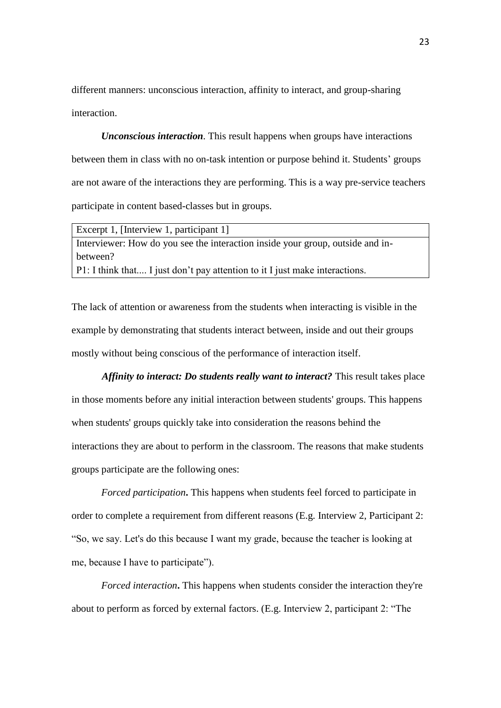different manners: unconscious interaction, affinity to interact, and group-sharing interaction.

*Unconscious interaction*. This result happens when groups have interactions between them in class with no on-task intention or purpose behind it. Students' groups are not aware of the interactions they are performing. This is a way pre-service teachers participate in content based-classes but in groups.

| Excerpt 1, [Interview 1, participant 1]                                        |
|--------------------------------------------------------------------------------|
| Interviewer: How do you see the interaction inside your group, outside and in- |
| between?                                                                       |
| P1: I think that I just don't pay attention to it I just make interactions.    |

The lack of attention or awareness from the students when interacting is visible in the example by demonstrating that students interact between, inside and out their groups mostly without being conscious of the performance of interaction itself.

 *Affinity to interact: Do students really want to interact?* This result takes place in those moments before any initial interaction between students' groups. This happens when students' groups quickly take into consideration the reasons behind the interactions they are about to perform in the classroom. The reasons that make students groups participate are the following ones:

*Forced participation***.** This happens when students feel forced to participate in order to complete a requirement from different reasons (E.g. Interview 2, Participant 2: "So, we say. Let's do this because I want my grade, because the teacher is looking at me, because I have to participate").

*Forced interaction***.** This happens when students consider the interaction they're about to perform as forced by external factors. (E.g. Interview 2, participant 2: "The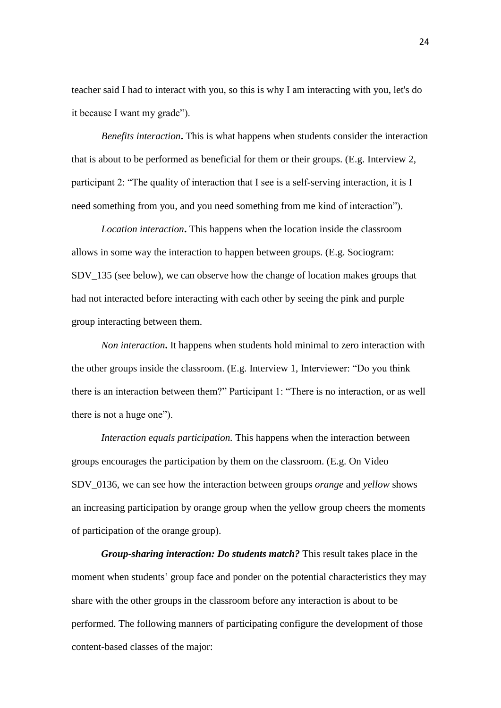teacher said I had to interact with you, so this is why I am interacting with you, let's do it because I want my grade").

*Benefits interaction***.** This is what happens when students consider the interaction that is about to be performed as beneficial for them or their groups. (E.g. Interview 2, participant 2: "The quality of interaction that I see is a self-serving interaction, it is I need something from you, and you need something from me kind of interaction").

*Location interaction***.** This happens when the location inside the classroom allows in some way the interaction to happen between groups. (E.g. Sociogram: SDV\_135 (see below), we can observe how the change of location makes groups that had not interacted before interacting with each other by seeing the pink and purple group interacting between them.

*Non interaction***.** It happens when students hold minimal to zero interaction with the other groups inside the classroom. (E.g. Interview 1, Interviewer: "Do you think there is an interaction between them?" Participant 1: "There is no interaction, or as well there is not a huge one").

*Interaction equals participation.* This happens when the interaction between groups encourages the participation by them on the classroom. (E.g. On Video SDV\_0136, we can see how the interaction between groups *orange* and *yellow* shows an increasing participation by orange group when the yellow group cheers the moments of participation of the orange group).

*Group-sharing interaction: Do students match?* This result takes place in the moment when students' group face and ponder on the potential characteristics they may share with the other groups in the classroom before any interaction is about to be performed. The following manners of participating configure the development of those content-based classes of the major: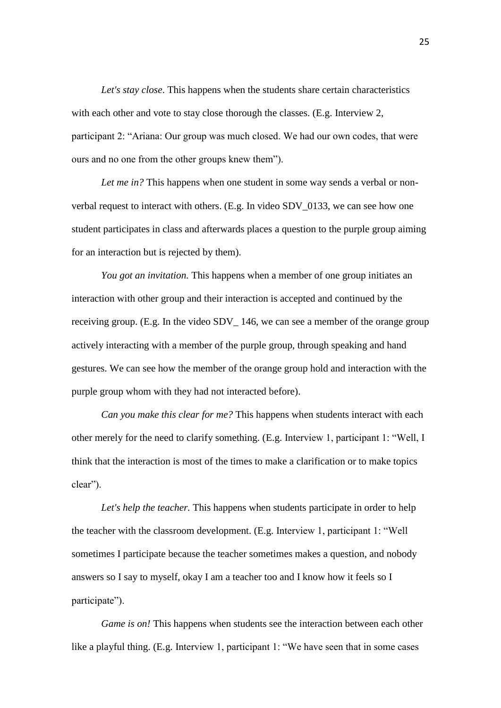*Let's stay close*. This happens when the students share certain characteristics with each other and vote to stay close thorough the classes. (E.g. Interview 2, participant 2: "Ariana: Our group was much closed. We had our own codes, that were ours and no one from the other groups knew them").

*Let me in?* This happens when one student in some way sends a verbal or nonverbal request to interact with others. (E.g. In video SDV\_0133, we can see how one student participates in class and afterwards places a question to the purple group aiming for an interaction but is rejected by them).

*You got an invitation.* This happens when a member of one group initiates an interaction with other group and their interaction is accepted and continued by the receiving group. (E.g. In the video SDV\_ 146, we can see a member of the orange group actively interacting with a member of the purple group, through speaking and hand gestures. We can see how the member of the orange group hold and interaction with the purple group whom with they had not interacted before).

*Can you make this clear for me?* This happens when students interact with each other merely for the need to clarify something. (E.g. Interview 1, participant 1: "Well, I think that the interaction is most of the times to make a clarification or to make topics clear").

*Let's help the teacher.* This happens when students participate in order to help the teacher with the classroom development. (E.g. Interview 1, participant 1: "Well sometimes I participate because the teacher sometimes makes a question, and nobody answers so I say to myself, okay I am a teacher too and I know how it feels so I participate").

*Game is on!* This happens when students see the interaction between each other like a playful thing. (E.g. Interview 1, participant 1: "We have seen that in some cases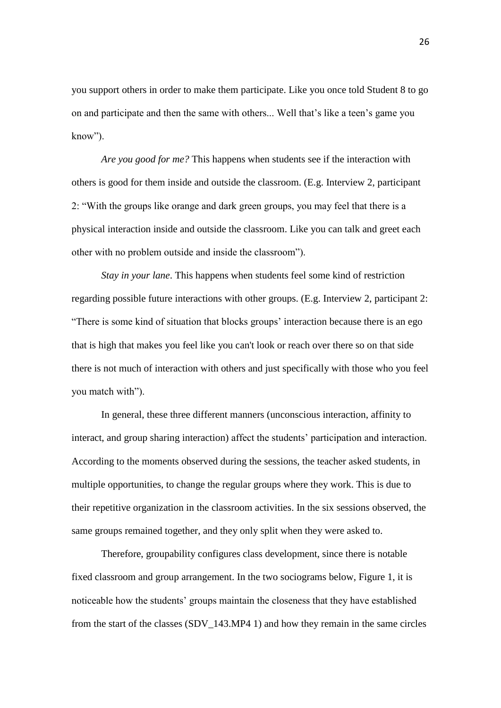you support others in order to make them participate. Like you once told Student 8 to go on and participate and then the same with others... Well that's like a teen's game you know").

*Are you good for me?* This happens when students see if the interaction with others is good for them inside and outside the classroom. (E.g. Interview 2, participant 2: "With the groups like orange and dark green groups, you may feel that there is a physical interaction inside and outside the classroom. Like you can talk and greet each other with no problem outside and inside the classroom").

*Stay in your lane*. This happens when students feel some kind of restriction regarding possible future interactions with other groups. (E.g. Interview 2, participant 2: "There is some kind of situation that blocks groups' interaction because there is an ego that is high that makes you feel like you can't look or reach over there so on that side there is not much of interaction with others and just specifically with those who you feel you match with").

In general, these three different manners (unconscious interaction, affinity to interact, and group sharing interaction) affect the students' participation and interaction. According to the moments observed during the sessions, the teacher asked students, in multiple opportunities, to change the regular groups where they work. This is due to their repetitive organization in the classroom activities. In the six sessions observed, the same groups remained together, and they only split when they were asked to.

Therefore, groupability configures class development, since there is notable fixed classroom and group arrangement. In the two sociograms below, Figure 1, it is noticeable how the students' groups maintain the closeness that they have established from the start of the classes (SDV\_143.MP4 1) and how they remain in the same circles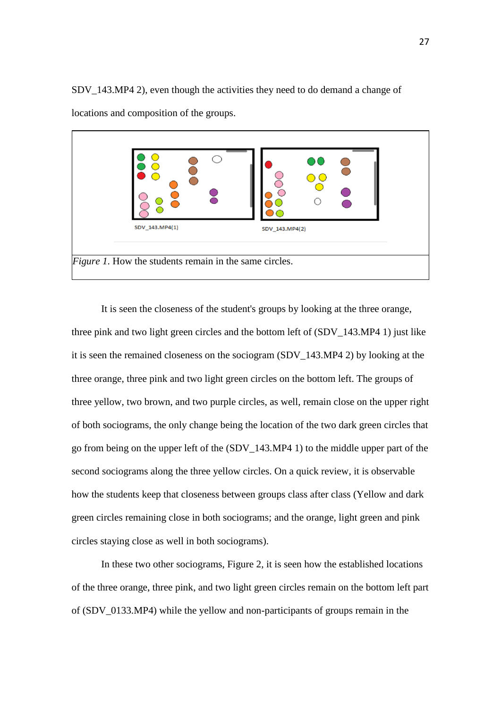SDV\_143.MP4 2), even though the activities they need to do demand a change of locations and composition of the groups.



It is seen the closeness of the student's groups by looking at the three orange, three pink and two light green circles and the bottom left of (SDV\_143.MP4 1) just like it is seen the remained closeness on the sociogram (SDV\_143.MP4 2) by looking at the three orange, three pink and two light green circles on the bottom left. The groups of three yellow, two brown, and two purple circles, as well, remain close on the upper right of both sociograms, the only change being the location of the two dark green circles that go from being on the upper left of the (SDV\_143.MP4 1) to the middle upper part of the second sociograms along the three yellow circles. On a quick review, it is observable how the students keep that closeness between groups class after class (Yellow and dark green circles remaining close in both sociograms; and the orange, light green and pink circles staying close as well in both sociograms).

In these two other sociograms, Figure 2, it is seen how the established locations of the three orange, three pink, and two light green circles remain on the bottom left part of (SDV\_0133.MP4) while the yellow and non-participants of groups remain in the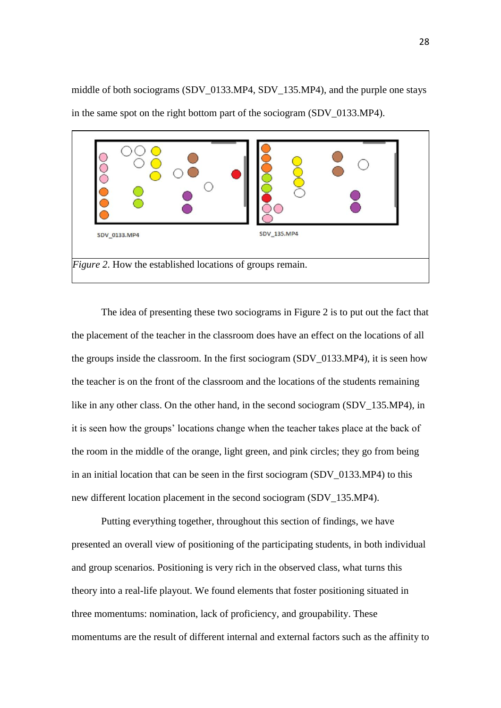middle of both sociograms (SDV\_0133.MP4, SDV\_135.MP4), and the purple one stays in the same spot on the right bottom part of the sociogram (SDV\_0133.MP4).



The idea of presenting these two sociograms in Figure 2 is to put out the fact that the placement of the teacher in the classroom does have an effect on the locations of all the groups inside the classroom. In the first sociogram (SDV\_0133.MP4), it is seen how the teacher is on the front of the classroom and the locations of the students remaining like in any other class. On the other hand, in the second sociogram (SDV\_135.MP4), in it is seen how the groups' locations change when the teacher takes place at the back of the room in the middle of the orange, light green, and pink circles; they go from being in an initial location that can be seen in the first sociogram (SDV\_0133.MP4) to this new different location placement in the second sociogram (SDV\_135.MP4).

Putting everything together, throughout this section of findings, we have presented an overall view of positioning of the participating students, in both individual and group scenarios. Positioning is very rich in the observed class, what turns this theory into a real-life playout. We found elements that foster positioning situated in three momentums: nomination, lack of proficiency, and groupability. These momentums are the result of different internal and external factors such as the affinity to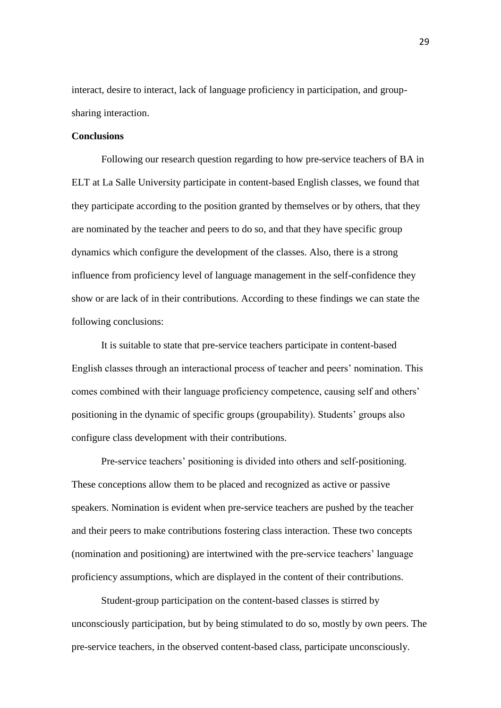interact, desire to interact, lack of language proficiency in participation, and groupsharing interaction.

#### **Conclusions**

Following our research question regarding to how pre-service teachers of BA in ELT at La Salle University participate in content-based English classes, we found that they participate according to the position granted by themselves or by others, that they are nominated by the teacher and peers to do so, and that they have specific group dynamics which configure the development of the classes. Also, there is a strong influence from proficiency level of language management in the self-confidence they show or are lack of in their contributions. According to these findings we can state the following conclusions:

It is suitable to state that pre-service teachers participate in content-based English classes through an interactional process of teacher and peers' nomination. This comes combined with their language proficiency competence, causing self and others' positioning in the dynamic of specific groups (groupability). Students' groups also configure class development with their contributions.

Pre-service teachers' positioning is divided into others and self-positioning. These conceptions allow them to be placed and recognized as active or passive speakers. Nomination is evident when pre-service teachers are pushed by the teacher and their peers to make contributions fostering class interaction. These two concepts (nomination and positioning) are intertwined with the pre-service teachers' language proficiency assumptions, which are displayed in the content of their contributions.

Student-group participation on the content-based classes is stirred by unconsciously participation, but by being stimulated to do so, mostly by own peers. The pre-service teachers, in the observed content-based class, participate unconsciously.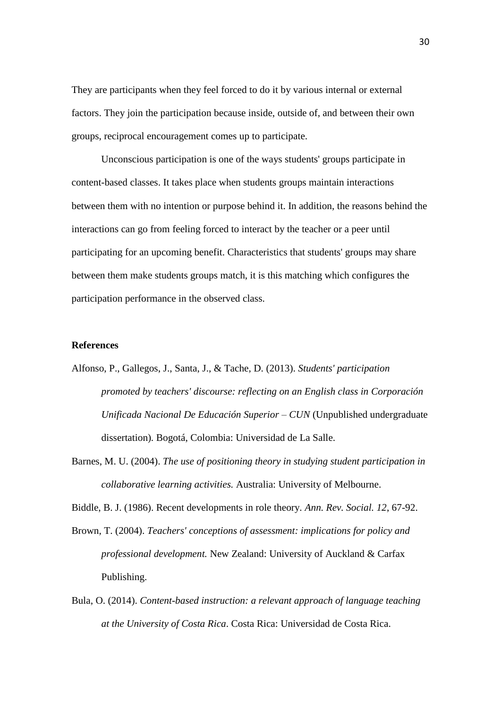They are participants when they feel forced to do it by various internal or external factors. They join the participation because inside, outside of, and between their own groups, reciprocal encouragement comes up to participate.

Unconscious participation is one of the ways students' groups participate in content-based classes. It takes place when students groups maintain interactions between them with no intention or purpose behind it. In addition, the reasons behind the interactions can go from feeling forced to interact by the teacher or a peer until participating for an upcoming benefit. Characteristics that students' groups may share between them make students groups match, it is this matching which configures the participation performance in the observed class.

#### **References**

- Alfonso, P., Gallegos, J., Santa, J., & Tache, D. (2013). *Students' participation promoted by teachers' discourse: reflecting on an English class in Corporación Unificada Nacional De Educación Superior – CUN* (Unpublished undergraduate dissertation)*.* Bogotá, Colombia: Universidad de La Salle.
- Barnes, M. U. (2004). *The use of positioning theory in studying student participation in collaborative learning activities.* Australia: University of Melbourne.

Biddle, B. J. (1986). Recent developments in role theory. *Ann. Rev. Social. 12*, 67-92.

- Brown, T. (2004). *Teachers' conceptions of assessment: implications for policy and professional development.* New Zealand: University of Auckland & Carfax Publishing.
- Bula, O. (2014). *Content-based instruction: a relevant approach of language teaching at the University of Costa Rica*. Costa Rica: Universidad de Costa Rica.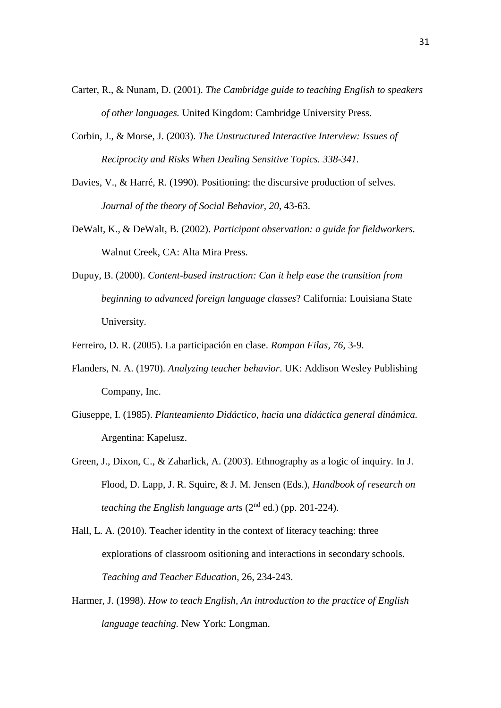- Carter, R., & Nunam, D. (2001). *The Cambridge guide to teaching English to speakers of other languages.* United Kingdom: Cambridge University Press.
- Corbin, J., & Morse, J. (2003). *The Unstructured Interactive Interview: Issues of Reciprocity and Risks When Dealing Sensitive Topics. 338-341.*
- Davies, V., & Harré, R. (1990). Positioning: the discursive production of selves*. Journal of the theory of Social Behavior, 20*, 43-63.
- DeWalt, K., & DeWalt, B. (2002). *Participant observation: a guide for fieldworkers.* Walnut Creek, CA: Alta Mira Press.
- Dupuy, B. (2000). *Content-based instruction: Can it help ease the transition from beginning to advanced foreign language classes*? California: Louisiana State University.
- Ferreiro, D. R. (2005). La participación en clase. *Rompan Filas, 76*, 3-9.
- Flanders, N. A. (1970). *Analyzing teacher behavior*. UK: Addison Wesley Publishing Company, Inc.
- Giuseppe, I. (1985). *Planteamiento Didáctico, hacia una didáctica general dinámica.* Argentina: Kapelusz.
- Green, J., Dixon, C., & Zaharlick, A. (2003). Ethnography as a logic of inquiry*.* In J. Flood, D. Lapp, J. R. Squire, & J. M. Jensen (Eds.), *Handbook of research on teaching the English language arts*  $(2^{nd}$  ed.) (pp. 201-224).
- Hall, L. A. (2010). Teacher identity in the context of literacy teaching: three explorations of classroom ositioning and interactions in secondary schools. *Teaching and Teacher Education*, 26, 234-243.
- Harmer, J. (1998). *How to teach English, An introduction to the practice of English language teaching.* New York: Longman.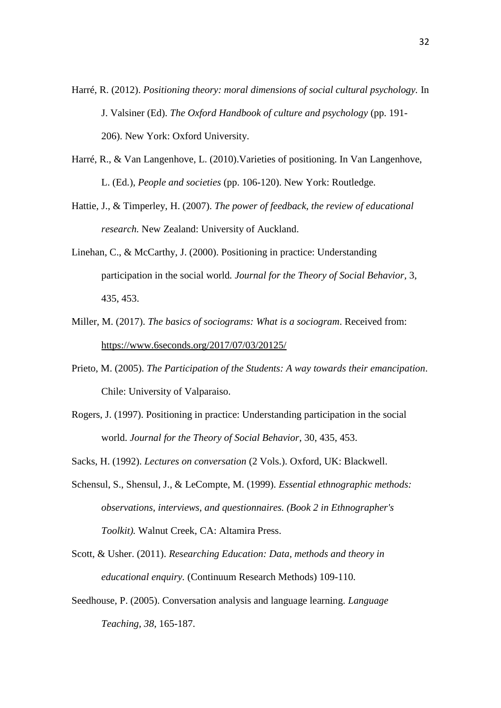- Harré, R. (2012). *Positioning theory: moral dimensions of social cultural psychology.* In J. Valsiner (Ed). *The Oxford Handbook of culture and psychology* (pp. 191- 206). New York: Oxford University.
- Harré, R., & Van Langenhove, L. (2010).Varieties of positioning. In Van Langenhove, L. (Ed.), *People and societies* (pp. 106-120). New York: Routledge.
- Hattie, J., & Timperley, H. (2007). *The power of feedback, the review of educational research.* New Zealand: University of Auckland.
- Linehan, C., & McCarthy, J. (2000). Positioning in practice: Understanding participation in the social world*. Journal for the Theory of Social Behavior,* 3, 435, 453.
- Miller, M. (2017). *The basics of sociograms: What is a sociogram*. Received from: <https://www.6seconds.org/2017/07/03/20125/>
- Prieto, M. (2005). *The Participation of the Students: A way towards their emancipation*. Chile: University of Valparaiso.
- Rogers, J. (1997). Positioning in practice: Understanding participation in the social world. *Journal for the Theory of Social Behavior*, 30, 435, 453.
- Sacks, H. (1992). *Lectures on conversation* (2 Vols.). Oxford, UK: Blackwell.
- Schensul, S., Shensul, J., & LeCompte, M. (1999). *Essential ethnographic methods: observations, interviews, and questionnaires. (Book 2 in Ethnographer's Toolkit).* Walnut Creek, CA: Altamira Press.
- Scott, & Usher. (2011). *Researching Education: Data, methods and theory in educational enquiry.* (Continuum Research Methods) 109-110.
- Seedhouse, P. (2005). Conversation analysis and language learning. *Language Teaching, 38*, 165-187.